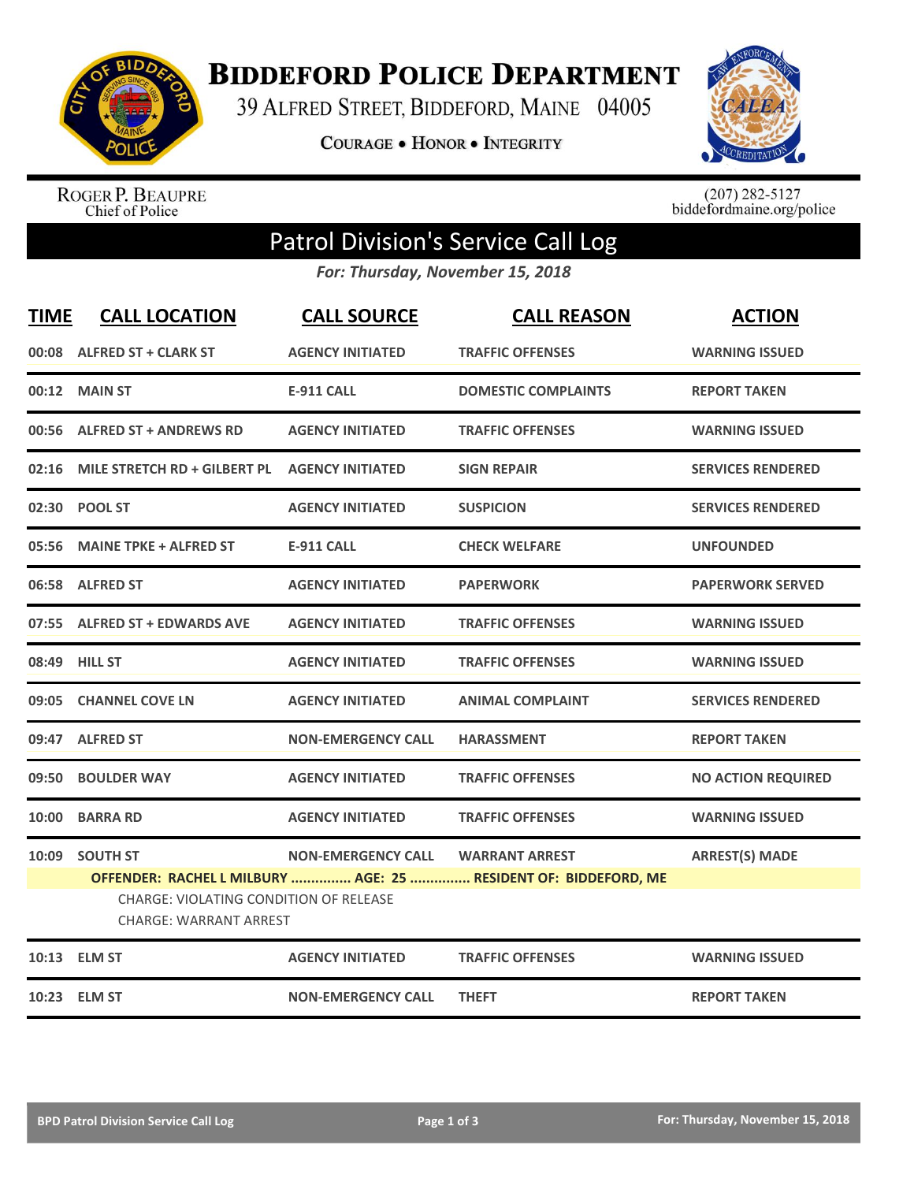

**BIDDEFORD POLICE DEPARTMENT** 

39 ALFRED STREET, BIDDEFORD, MAINE 04005

**COURAGE . HONOR . INTEGRITY** 



ROGER P. BEAUPRE<br>Chief of Police

 $(207)$  282-5127<br>biddefordmaine.org/police

## Patrol Division's Service Call Log

*For: Thursday, November 15, 2018*

| <b>TIME</b> | <b>CALL LOCATION</b>                                                                      | <b>CALL SOURCE</b>        | <b>CALL REASON</b>                                                                       | <b>ACTION</b>             |
|-------------|-------------------------------------------------------------------------------------------|---------------------------|------------------------------------------------------------------------------------------|---------------------------|
|             | 00:08 ALFRED ST + CLARK ST                                                                | <b>AGENCY INITIATED</b>   | <b>TRAFFIC OFFENSES</b>                                                                  | <b>WARNING ISSUED</b>     |
|             | 00:12 MAIN ST                                                                             | <b>E-911 CALL</b>         | <b>DOMESTIC COMPLAINTS</b>                                                               | <b>REPORT TAKEN</b>       |
|             | 00:56 ALFRED ST + ANDREWS RD                                                              | <b>AGENCY INITIATED</b>   | <b>TRAFFIC OFFENSES</b>                                                                  | <b>WARNING ISSUED</b>     |
|             | 02:16 MILE STRETCH RD + GILBERT PL                                                        | <b>AGENCY INITIATED</b>   | <b>SIGN REPAIR</b>                                                                       | <b>SERVICES RENDERED</b>  |
|             | 02:30 POOL ST                                                                             | <b>AGENCY INITIATED</b>   | <b>SUSPICION</b>                                                                         | <b>SERVICES RENDERED</b>  |
|             | 05:56 MAINE TPKE + ALFRED ST                                                              | <b>E-911 CALL</b>         | <b>CHECK WELFARE</b>                                                                     | <b>UNFOUNDED</b>          |
|             | 06:58 ALFRED ST                                                                           | <b>AGENCY INITIATED</b>   | <b>PAPERWORK</b>                                                                         | <b>PAPERWORK SERVED</b>   |
|             | 07:55 ALFRED ST + EDWARDS AVE                                                             | <b>AGENCY INITIATED</b>   | <b>TRAFFIC OFFENSES</b>                                                                  | <b>WARNING ISSUED</b>     |
|             | 08:49 HILL ST                                                                             | <b>AGENCY INITIATED</b>   | <b>TRAFFIC OFFENSES</b>                                                                  | <b>WARNING ISSUED</b>     |
|             | 09:05 CHANNEL COVE LN                                                                     | <b>AGENCY INITIATED</b>   | <b>ANIMAL COMPLAINT</b>                                                                  | <b>SERVICES RENDERED</b>  |
|             | 09:47 ALFRED ST                                                                           | <b>NON-EMERGENCY CALL</b> | <b>HARASSMENT</b>                                                                        | <b>REPORT TAKEN</b>       |
|             | 09:50 BOULDER WAY                                                                         | <b>AGENCY INITIATED</b>   | <b>TRAFFIC OFFENSES</b>                                                                  | <b>NO ACTION REQUIRED</b> |
|             | 10:00 BARRA RD                                                                            | <b>AGENCY INITIATED</b>   | <b>TRAFFIC OFFENSES</b>                                                                  | <b>WARNING ISSUED</b>     |
|             | 10:09 SOUTH ST<br>CHARGE: VIOLATING CONDITION OF RELEASE<br><b>CHARGE: WARRANT ARREST</b> | <b>NON-EMERGENCY CALL</b> | <b>WARRANT ARREST</b><br>OFFENDER: RACHEL L MILBURY  AGE: 25  RESIDENT OF: BIDDEFORD, ME | <b>ARREST(S) MADE</b>     |
|             | 10:13 ELM ST                                                                              | <b>AGENCY INITIATED</b>   | <b>TRAFFIC OFFENSES</b>                                                                  | <b>WARNING ISSUED</b>     |
|             | 10:23 ELM ST                                                                              | <b>NON-EMERGENCY CALL</b> | <b>THEFT</b>                                                                             | <b>REPORT TAKEN</b>       |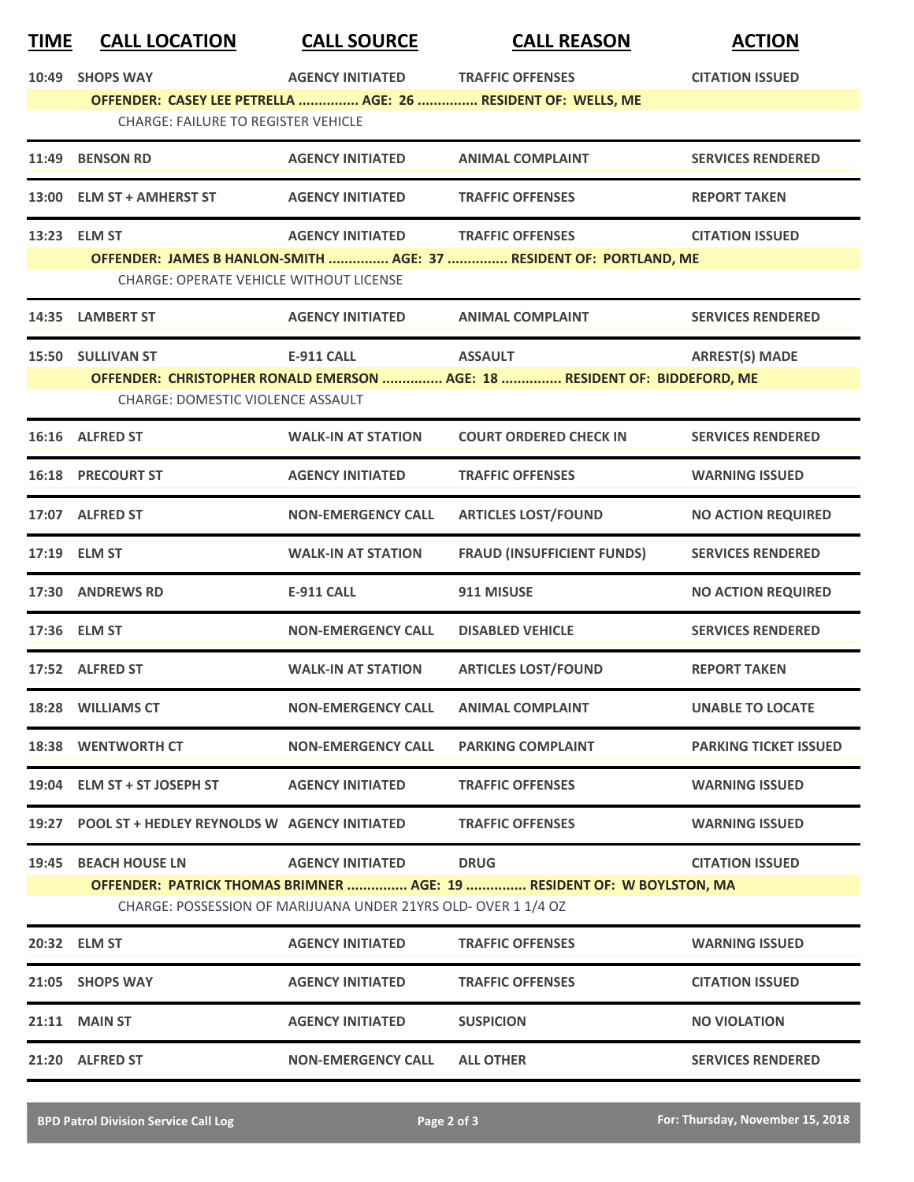| <u>TIME</u> | <b>CALL LOCATION</b>                               | <b>CALL SOURCE</b>                                             | <b>CALL REASON</b>                                                        | <b>ACTION</b>                |
|-------------|----------------------------------------------------|----------------------------------------------------------------|---------------------------------------------------------------------------|------------------------------|
| 10:49       | <b>SHOPS WAY</b>                                   | <b>AGENCY INITIATED</b>                                        | <b>TRAFFIC OFFENSES</b>                                                   | <b>CITATION ISSUED</b>       |
|             |                                                    |                                                                | OFFENDER: CASEY LEE PETRELLA  AGE: 26  RESIDENT OF: WELLS, ME             |                              |
|             | <b>CHARGE: FAILURE TO REGISTER VEHICLE</b>         |                                                                |                                                                           |                              |
|             | 11:49 BENSON RD                                    | <b>AGENCY INITIATED</b>                                        | <b>ANIMAL COMPLAINT</b>                                                   | <b>SERVICES RENDERED</b>     |
| 13:00       | <b>ELM ST + AMHERST ST</b>                         | <b>AGENCY INITIATED</b>                                        | <b>TRAFFIC OFFENSES</b>                                                   | <b>REPORT TAKEN</b>          |
|             | 13:23 ELM ST                                       | <b>AGENCY INITIATED</b>                                        | <b>TRAFFIC OFFENSES</b>                                                   | <b>CITATION ISSUED</b>       |
|             |                                                    |                                                                | OFFENDER: JAMES B HANLON-SMITH  AGE: 37  RESIDENT OF: PORTLAND, ME        |                              |
|             | <b>CHARGE: OPERATE VEHICLE WITHOUT LICENSE</b>     |                                                                |                                                                           |                              |
|             | 14:35 LAMBERT ST                                   | <b>AGENCY INITIATED</b>                                        | <b>ANIMAL COMPLAINT</b>                                                   | <b>SERVICES RENDERED</b>     |
|             | 15:50 SULLIVAN ST                                  | <b>E-911 CALL</b>                                              | <b>ASSAULT</b>                                                            | <b>ARREST(S) MADE</b>        |
|             |                                                    |                                                                | OFFENDER: CHRISTOPHER RONALD EMERSON  AGE: 18  RESIDENT OF: BIDDEFORD, ME |                              |
|             | CHARGE: DOMESTIC VIOLENCE ASSAULT                  |                                                                |                                                                           |                              |
|             | 16:16 ALFRED ST                                    | <b>WALK-IN AT STATION</b>                                      | <b>COURT ORDERED CHECK IN</b>                                             | <b>SERVICES RENDERED</b>     |
|             | <b>16:18 PRECOURT ST</b>                           | <b>AGENCY INITIATED</b>                                        | <b>TRAFFIC OFFENSES</b>                                                   | <b>WARNING ISSUED</b>        |
|             | 17:07 ALFRED ST                                    | <b>NON-EMERGENCY CALL</b>                                      | <b>ARTICLES LOST/FOUND</b>                                                | <b>NO ACTION REQUIRED</b>    |
|             | 17:19 ELM ST                                       | <b>WALK-IN AT STATION</b>                                      | <b>FRAUD (INSUFFICIENT FUNDS)</b>                                         | <b>SERVICES RENDERED</b>     |
|             | 17:30 ANDREWS RD                                   | <b>E-911 CALL</b>                                              | 911 MISUSE                                                                | <b>NO ACTION REQUIRED</b>    |
|             | 17:36 ELM ST                                       | <b>NON-EMERGENCY CALL</b>                                      | <b>DISABLED VEHICLE</b>                                                   | <b>SERVICES RENDERED</b>     |
|             | 17:52 ALFRED ST                                    | <b>WALK-IN AT STATION</b>                                      | <b>ARTICLES LOST/FOUND</b>                                                | <b>REPORT TAKEN</b>          |
|             | 18:28 WILLIAMS CT                                  | <b>NON-EMERGENCY CALL</b>                                      | <b>ANIMAL COMPLAINT</b>                                                   | <b>UNABLE TO LOCATE</b>      |
|             | <b>18:38 WENTWORTH CT</b>                          | <b>NON-EMERGENCY CALL</b>                                      | <b>PARKING COMPLAINT</b>                                                  | <b>PARKING TICKET ISSUED</b> |
|             | 19:04 ELM ST + ST JOSEPH ST                        | <b>AGENCY INITIATED</b>                                        | <b>TRAFFIC OFFENSES</b>                                                   | <b>WARNING ISSUED</b>        |
|             | 19:27 POOL ST + HEDLEY REYNOLDS W AGENCY INITIATED |                                                                | <b>TRAFFIC OFFENSES</b>                                                   | <b>WARNING ISSUED</b>        |
| 19:45       | <b>BEACH HOUSE LN</b>                              | <b>AGENCY INITIATED</b>                                        | <b>DRUG</b>                                                               | <b>CITATION ISSUED</b>       |
|             |                                                    |                                                                | OFFENDER: PATRICK THOMAS BRIMNER  AGE: 19  RESIDENT OF: W BOYLSTON, MA    |                              |
|             |                                                    | CHARGE: POSSESSION OF MARIJUANA UNDER 21YRS OLD- OVER 1 1/4 OZ |                                                                           |                              |
|             | 20:32 ELM ST                                       | <b>AGENCY INITIATED</b>                                        | <b>TRAFFIC OFFENSES</b>                                                   | <b>WARNING ISSUED</b>        |
|             | 21:05 SHOPS WAY                                    | <b>AGENCY INITIATED</b>                                        | <b>TRAFFIC OFFENSES</b>                                                   | <b>CITATION ISSUED</b>       |
| 21:11       | <b>MAIN ST</b>                                     | <b>AGENCY INITIATED</b>                                        | <b>SUSPICION</b>                                                          | <b>NO VIOLATION</b>          |
|             | 21:20 ALFRED ST                                    | <b>NON-EMERGENCY CALL</b>                                      | <b>ALL OTHER</b>                                                          | <b>SERVICES RENDERED</b>     |